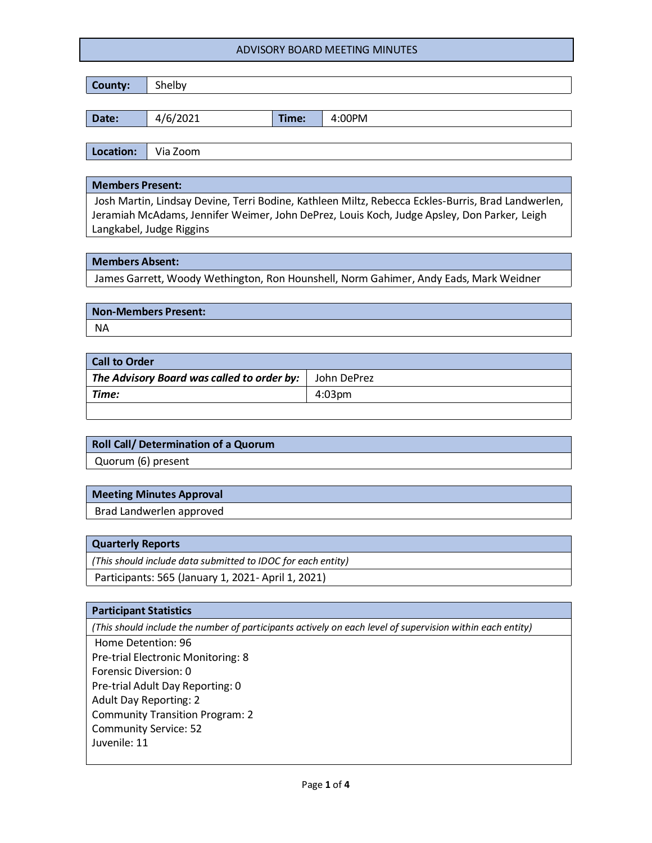| County: | Shelby   |       |        |
|---------|----------|-------|--------|
|         |          |       |        |
| Date:   | 4/6/2021 | Time: | 4:00PM |
|         |          |       |        |

**Location:** Via Zoom

#### **Members Present:**

Josh Martin, Lindsay Devine, Terri Bodine, Kathleen Miltz, Rebecca Eckles-Burris, Brad Landwerlen, Jeramiah McAdams, Jennifer Weimer, John DePrez, Louis Koch, Judge Apsley, Don Parker, Leigh Langkabel, Judge Riggins

### **Members Absent:**

James Garrett, Woody Wethington, Ron Hounshell, Norm Gahimer, Andy Eads, Mark Weidner

**Non-Members Present:** NA

| <b>Call to Order</b>                               |               |  |  |  |
|----------------------------------------------------|---------------|--|--|--|
| The Advisory Board was called to order by: $\vert$ | ' John DePrez |  |  |  |
| Time:                                              | $4:03$ pm     |  |  |  |
|                                                    |               |  |  |  |

# **Roll Call/ Determination of a Quorum**

Quorum (6) present

# **Meeting Minutes Approval**

Brad Landwerlen approved

### **Quarterly Reports**

*(This should include data submitted to IDOC for each entity)*

Participants: 565 (January 1, 2021- April 1, 2021)

### **Participant Statistics**

*(This should include the number of participants actively on each level of supervision within each entity)*

Home Detention: 96 Pre-trial Electronic Monitoring: 8 Forensic Diversion: 0 Pre-trial Adult Day Reporting: 0 Adult Day Reporting: 2 Community Transition Program: 2 Community Service: 52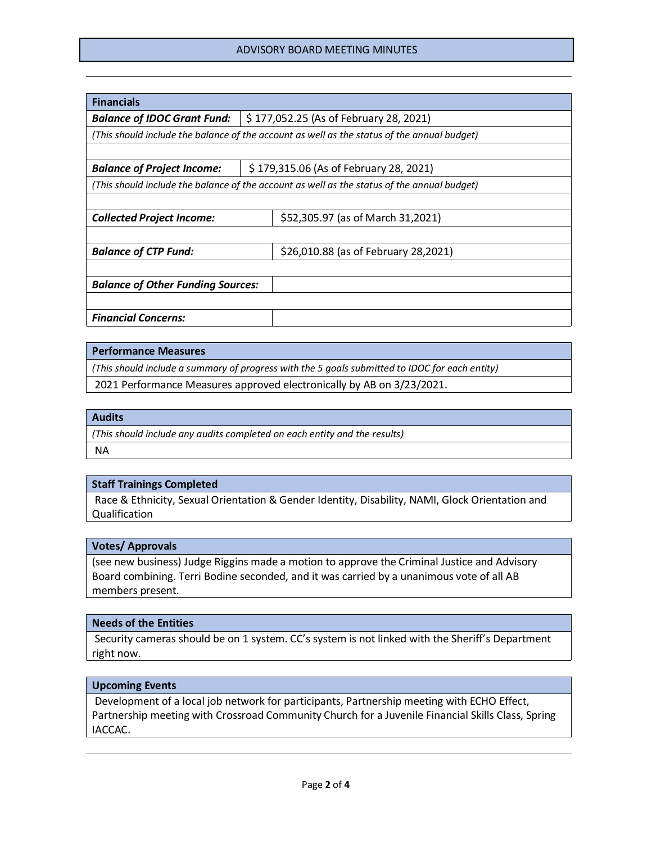| <b>Financials</b>                                                                           |                                        |                                        |  |  |
|---------------------------------------------------------------------------------------------|----------------------------------------|----------------------------------------|--|--|
| <b>Balance of IDOC Grant Fund:</b>                                                          | \$177,052.25 (As of February 28, 2021) |                                        |  |  |
| (This should include the balance of the account as well as the status of the annual budget) |                                        |                                        |  |  |
|                                                                                             |                                        |                                        |  |  |
| <b>Balance of Project Income:</b>                                                           |                                        | \$179,315.06 (As of February 28, 2021) |  |  |
| (This should include the balance of the account as well as the status of the annual budget) |                                        |                                        |  |  |
|                                                                                             |                                        |                                        |  |  |
| <b>Collected Project Income:</b>                                                            |                                        | \$52,305.97 (as of March 31,2021)      |  |  |
|                                                                                             |                                        |                                        |  |  |
| <b>Balance of CTP Fund:</b>                                                                 |                                        | \$26,010.88 (as of February 28,2021)   |  |  |
|                                                                                             |                                        |                                        |  |  |
| <b>Balance of Other Funding Sources:</b>                                                    |                                        |                                        |  |  |
|                                                                                             |                                        |                                        |  |  |
| <b>Financial Concerns:</b>                                                                  |                                        |                                        |  |  |

### **Performance Measures**

*(This should include a summary of progress with the 5 goals submitted to IDOC for each entity)*

2021 Performance Measures approved electronically by AB on 3/23/2021.

# **Audits**

*(This should include any audits completed on each entity and the results)* NA

### **Staff Trainings Completed**

Race & Ethnicity, Sexual Orientation & Gender Identity, Disability, NAMI, Glock Orientation and Qualification

### **Votes/ Approvals**

(see new business) Judge Riggins made a motion to approve the Criminal Justice and Advisory Board combining. Terri Bodine seconded, and it was carried by a unanimous vote of all AB members present.

### **Needs of the Entities**

Security cameras should be on 1 system. CC's system is not linked with the Sheriff's Department right now.

### **Upcoming Events**

Development of a local job network for participants, Partnership meeting with ECHO Effect, Partnership meeting with Crossroad Community Church for a Juvenile Financial Skills Class, Spring IACCAC.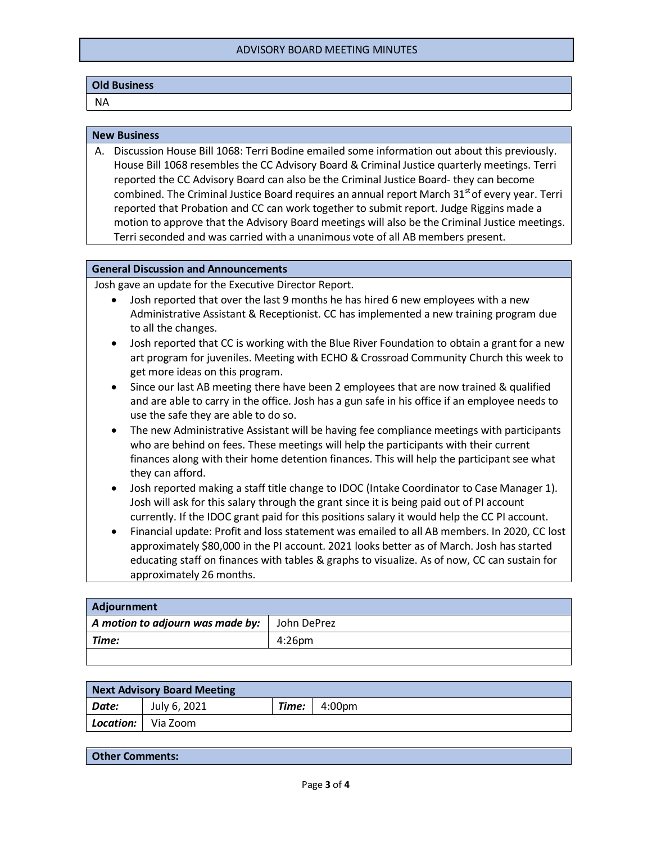### **Old Business**

NA

#### **New Business**

A. Discussion House Bill 1068: Terri Bodine emailed some information out about this previously. House Bill 1068 resembles the CC Advisory Board & Criminal Justice quarterly meetings. Terri reported the CC Advisory Board can also be the Criminal Justice Board- they can become combined. The Criminal Justice Board requires an annual report March 31<sup>st</sup> of every year. Terri reported that Probation and CC can work together to submit report. Judge Riggins made a motion to approve that the Advisory Board meetings will also be the Criminal Justice meetings. Terri seconded and was carried with a unanimous vote of all AB members present.

#### **General Discussion and Announcements**

Josh gave an update for the Executive Director Report.

- Josh reported that over the last 9 months he has hired 6 new employees with a new Administrative Assistant & Receptionist. CC has implemented a new training program due to all the changes.
- Josh reported that CC is working with the Blue River Foundation to obtain a grant for a new art program for juveniles. Meeting with ECHO & Crossroad Community Church this week to get more ideas on this program.
- Since our last AB meeting there have been 2 employees that are now trained & qualified and are able to carry in the office. Josh has a gun safe in his office if an employee needs to use the safe they are able to do so.
- The new Administrative Assistant will be having fee compliance meetings with participants who are behind on fees. These meetings will help the participants with their current finances along with their home detention finances. This will help the participant see what they can afford.
- Josh reported making a staff title change to IDOC (Intake Coordinator to Case Manager 1). Josh will ask for this salary through the grant since it is being paid out of PI account currently. If the IDOC grant paid for this positions salary it would help the CC PI account.
- Financial update: Profit and loss statement was emailed to all AB members. In 2020, CC lost approximately \$80,000 in the PI account. 2021 looks better as of March. Josh has started educating staff on finances with tables & graphs to visualize. As of now, CC can sustain for approximately 26 months.

| Adjournment                      |             |  |  |  |
|----------------------------------|-------------|--|--|--|
| A motion to adjourn was made by: | John DePrez |  |  |  |
| Time:                            | $4:26$ pm   |  |  |  |
|                                  |             |  |  |  |

| <b>Next Advisory Board Meeting</b> |              |       |        |  |
|------------------------------------|--------------|-------|--------|--|
| Date:                              | July 6, 2021 | Time: | 4:00pm |  |
| Location:                          | Via Zoom     |       |        |  |

**Other Comments:**